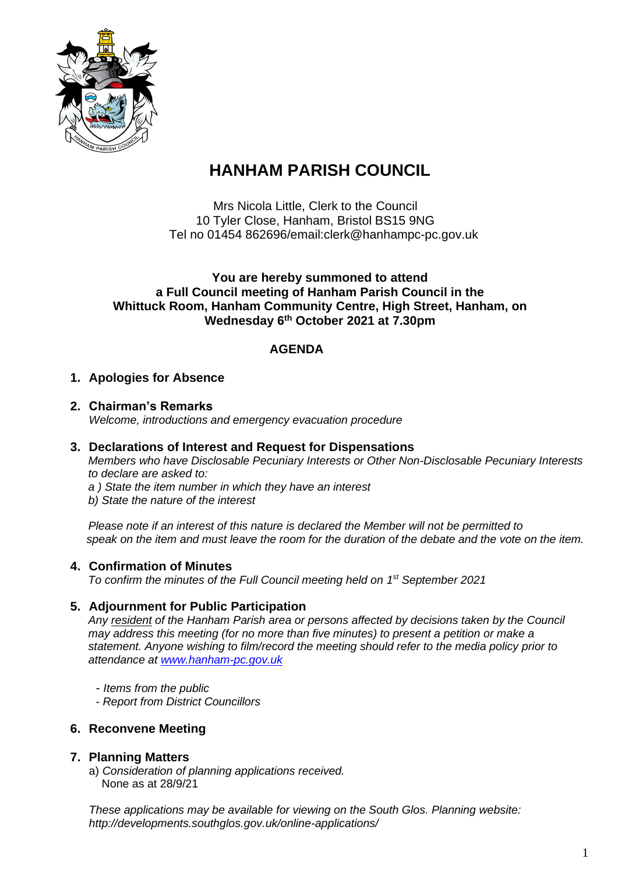

# **HANHAM PARISH COUNCIL**

Mrs Nicola Little, Clerk to the Council 10 Tyler Close, Hanham, Bristol BS15 9NG Tel no 01454 862696/email:clerk@hanhampc-pc.gov.uk

#### **You are hereby summoned to attend a Full Council meeting of Hanham Parish Council in the Whittuck Room, Hanham Community Centre, High Street, Hanham, on Wednesday 6 th October 2021 at 7.30pm**

### **AGENDA**

#### **1. Apologies for Absence**

#### **2. Chairman's Remarks** *Welcome, introductions and emergency evacuation procedure*

#### **3. Declarations of Interest and Request for Dispensations**

*Members who have Disclosable Pecuniary Interests or Other Non-Disclosable Pecuniary Interests to declare are asked to:*

- *a ) State the item number in which they have an interest*
- *b) State the nature of the interest*

*Please note if an interest of this nature is declared the Member will not be permitted to speak on the item and must leave the room for the duration of the debate and the vote on the item.*

#### **4. Confirmation of Minutes**

*To confirm the minutes of the Full Council meeting held on 1 st September 2021*

#### **5. Adjournment for Public Participation**

*Any resident of the Hanham Parish area or persons affected by decisions taken by the Council may address this meeting (for no more than five minutes) to present a petition or make a statement. Anyone wishing to film/record the meeting should refer to the media policy prior to attendance at [www.hanham-pc.gov.uk](http://www.hanham-pc.gov.uk/)*

- *- Items from the public*
- *- Report from District Councillors*

#### **6. Reconvene Meeting**

#### **7. Planning Matters**

a) *Consideration of planning applications received.* None as at 28/9/21

*These applications may be available for viewing on the South Glos. Planning website: http://developments.southglos.gov.uk/online-applications/*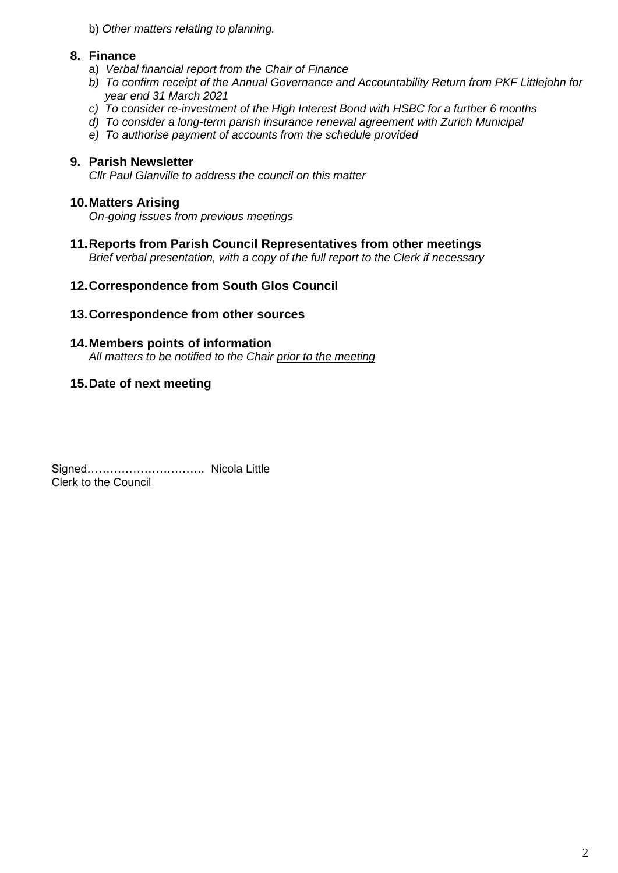b) *Other matters relating to planning.*

#### **8. Finance**

- a) *Verbal financial report from the Chair of Finance*
- *b) To confirm receipt of the Annual Governance and Accountability Return from PKF Littlejohn for year end 31 March 2021*
- *c) To consider re-investment of the High Interest Bond with HSBC for a further 6 months*
- *d) To consider a long-term parish insurance renewal agreement with Zurich Municipal*
- *e) To authorise payment of accounts from the schedule provided*

#### **9. Parish Newsletter**

*Cllr Paul Glanville to address the council on this matter*

#### **10.Matters Arising**

*On-going issues from previous meetings*

**11.Reports from Parish Council Representatives from other meetings**

*Brief verbal presentation, with a copy of the full report to the Clerk if necessary*

#### **12.Correspondence from South Glos Council**

#### **13.Correspondence from other sources**

#### **14.Members points of information**

*All matters to be notified to the Chair prior to the meeting*

#### **15.Date of next meeting**

Signed…………………………. Nicola Little Clerk to the Council